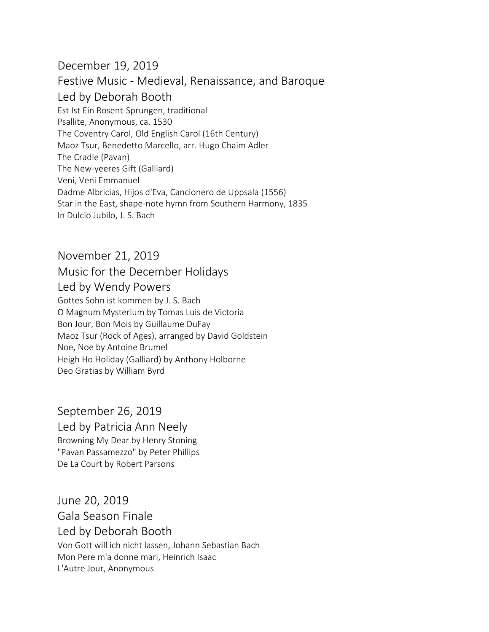## December 19, 2019 Festive Music - Medieval, Renaissance, and Baroque Led by Deborah Booth Est Ist Ein Rosent-Sprungen, traditional Psallite, Anonymous, ca. 1530 The Coventry Carol, Old English Carol (16th Century) Maoz Tsur, Benedetto Marcello, arr. Hugo Chaim Adler The Cradle (Pavan) The New-yeeres Gift (Galliard) Veni, Veni Emmanuel Dadme Albricias, Hijos d'Eva, Cancionero de Uppsala (1556) Star in the East, shape-note hymn from Southern Harmony, 1835 In Dulcio Jubilo, J. S. Bach

## November 21, 2019 Music for the December Holidays Led by Wendy Powers

Gottes Sohn ist kommen by J. S. Bach O Magnum Mysterium by Tomas Luis de Victoria Bon Jour, Bon Mois by Guillaume DuFay Maoz Tsur (Rock of Ages), arranged by David Goldstein Noe, Noe by Antoine Brumel Heigh Ho Holiday (Galliard) by Anthony Holborne Deo Gratias by William Byrd

September 26, 2019 Led by Patricia Ann Neely Browning My Dear by Henry Stoning "Pavan Passamezzo" by Peter Phillips De La Court by Robert Parsons

June 20, 2019 Gala Season Finale Led by Deborah Booth Von Gott will ich nicht lassen, Johann Sebastian Bach Mon Pere m'a donne mari, Heinrich Isaac L'Autre Jour, Anonymous